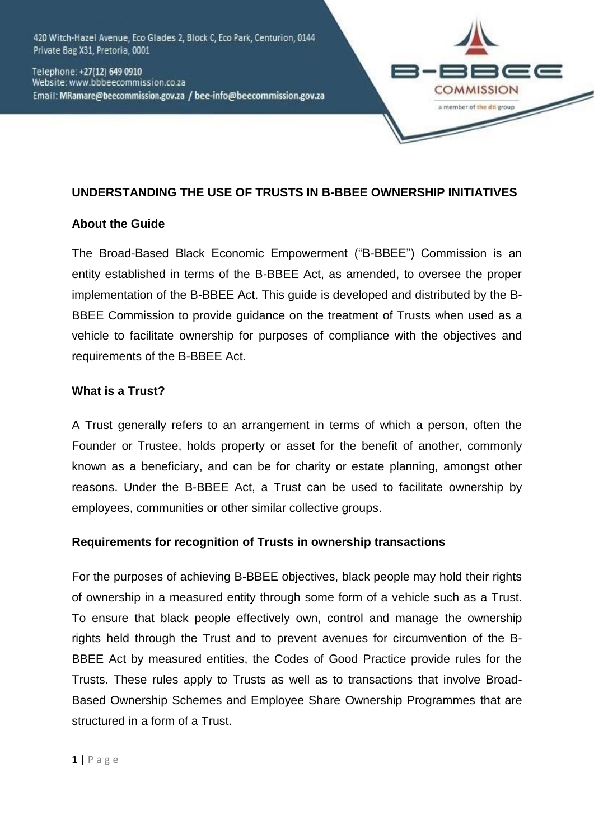420 Witch-Hazel Avenue, Eco Glades 2, Block C, Eco Park, Centurion, 0144 Private Bag X31, Pretoria, 0001

Telephone: +27(12) 649 0910 Website: www.bbbeecommission.co.za Email: MRamare@beecommission.gov.za / bee-info@beecommission.gov.za



### **UNDERSTANDING THE USE OF TRUSTS IN B-BBEE OWNERSHIP INITIATIVES**

### **About the Guide**

The Broad-Based Black Economic Empowerment ("B-BBEE") Commission is an entity established in terms of the B-BBEE Act, as amended, to oversee the proper implementation of the B-BBEE Act. This guide is developed and distributed by the B-BBEE Commission to provide guidance on the treatment of Trusts when used as a vehicle to facilitate ownership for purposes of compliance with the objectives and requirements of the B-BBEE Act.

### **What is a Trust?**

A Trust generally refers to an arrangement in terms of which a person, often the Founder or Trustee, holds property or asset for the benefit of another, commonly known as a beneficiary, and can be for charity or estate planning, amongst other reasons. Under the B-BBEE Act, a Trust can be used to facilitate ownership by employees, communities or other similar collective groups.

### **Requirements for recognition of Trusts in ownership transactions**

For the purposes of achieving B-BBEE objectives, black people may hold their rights of ownership in a measured entity through some form of a vehicle such as a Trust. To ensure that black people effectively own, control and manage the ownership rights held through the Trust and to prevent avenues for circumvention of the B-BBEE Act by measured entities, the Codes of Good Practice provide rules for the Trusts. These rules apply to Trusts as well as to transactions that involve Broad-Based Ownership Schemes and Employee Share Ownership Programmes that are structured in a form of a Trust.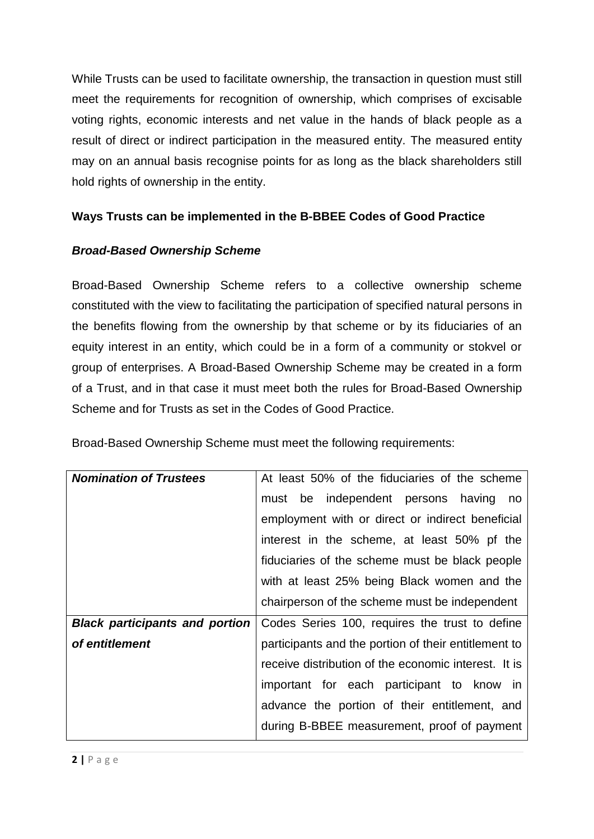While Trusts can be used to facilitate ownership, the transaction in question must still meet the requirements for recognition of ownership, which comprises of excisable voting rights, economic interests and net value in the hands of black people as a result of direct or indirect participation in the measured entity. The measured entity may on an annual basis recognise points for as long as the black shareholders still hold rights of ownership in the entity.

# **Ways Trusts can be implemented in the B-BBEE Codes of Good Practice**

## *Broad-Based Ownership Scheme*

Broad-Based Ownership Scheme refers to a collective ownership scheme constituted with the view to facilitating the participation of specified natural persons in the benefits flowing from the ownership by that scheme or by its fiduciaries of an equity interest in an entity, which could be in a form of a community or stokvel or group of enterprises. A Broad-Based Ownership Scheme may be created in a form of a Trust, and in that case it must meet both the rules for Broad-Based Ownership Scheme and for Trusts as set in the Codes of Good Practice.

Broad-Based Ownership Scheme must meet the following requirements:

| <b>Nomination of Trustees</b>         | At least 50% of the fiduciaries of the scheme        |  |
|---------------------------------------|------------------------------------------------------|--|
|                                       | must be independent persons having<br>no             |  |
|                                       | employment with or direct or indirect beneficial     |  |
|                                       | interest in the scheme, at least 50% pf the          |  |
|                                       | fiduciaries of the scheme must be black people       |  |
|                                       | with at least 25% being Black women and the          |  |
|                                       | chairperson of the scheme must be independent        |  |
| <b>Black participants and portion</b> | Codes Series 100, requires the trust to define       |  |
| of entitlement                        | participants and the portion of their entitlement to |  |
|                                       | receive distribution of the economic interest. It is |  |
|                                       | important for each participant to know in            |  |
|                                       | advance the portion of their entitlement, and        |  |
|                                       | during B-BBEE measurement, proof of payment          |  |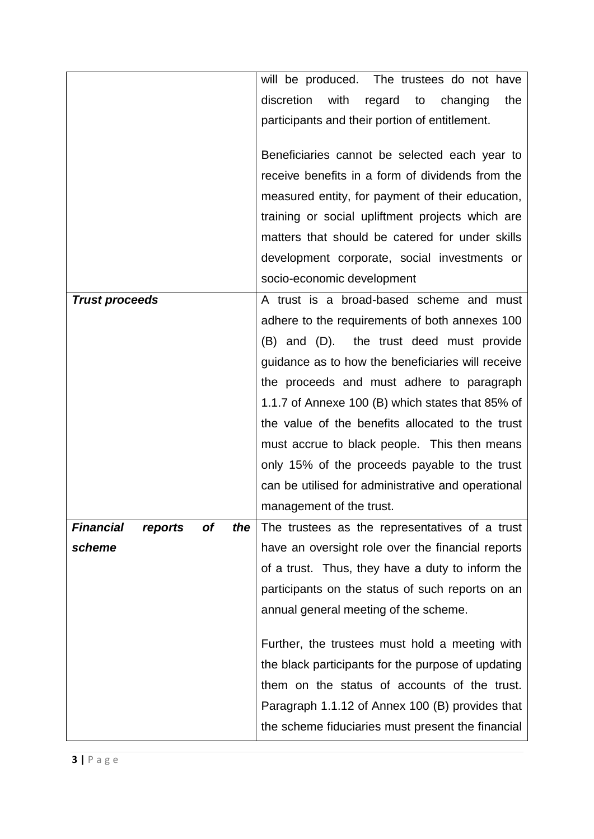|                                                 | will be produced. The trustees do not have            |  |
|-------------------------------------------------|-------------------------------------------------------|--|
|                                                 | discretion<br>with<br>regard<br>to<br>changing<br>the |  |
|                                                 | participants and their portion of entitlement.        |  |
|                                                 |                                                       |  |
|                                                 | Beneficiaries cannot be selected each year to         |  |
|                                                 | receive benefits in a form of dividends from the      |  |
|                                                 | measured entity, for payment of their education,      |  |
|                                                 | training or social upliftment projects which are      |  |
|                                                 | matters that should be catered for under skills       |  |
|                                                 | development corporate, social investments or          |  |
|                                                 | socio-economic development                            |  |
| <b>Trust proceeds</b>                           | A trust is a broad-based scheme and must              |  |
|                                                 | adhere to the requirements of both annexes 100        |  |
|                                                 | (B) and (D). the trust deed must provide              |  |
|                                                 | guidance as to how the beneficiaries will receive     |  |
|                                                 | the proceeds and must adhere to paragraph             |  |
|                                                 | 1.1.7 of Annexe 100 (B) which states that 85% of      |  |
|                                                 | the value of the benefits allocated to the trust      |  |
|                                                 | must accrue to black people. This then means          |  |
|                                                 | only 15% of the proceeds payable to the trust         |  |
|                                                 | can be utilised for administrative and operational    |  |
|                                                 | management of the trust.                              |  |
| <b>Financial</b><br><b>of</b><br>the<br>reports | The trustees as the representatives of a trust        |  |
| scheme                                          | have an oversight role over the financial reports     |  |
|                                                 | of a trust. Thus, they have a duty to inform the      |  |
|                                                 | participants on the status of such reports on an      |  |
|                                                 | annual general meeting of the scheme.                 |  |
|                                                 |                                                       |  |
|                                                 | Further, the trustees must hold a meeting with        |  |
|                                                 | the black participants for the purpose of updating    |  |
|                                                 | them on the status of accounts of the trust.          |  |
|                                                 | Paragraph 1.1.12 of Annex 100 (B) provides that       |  |
|                                                 | the scheme fiduciaries must present the financial     |  |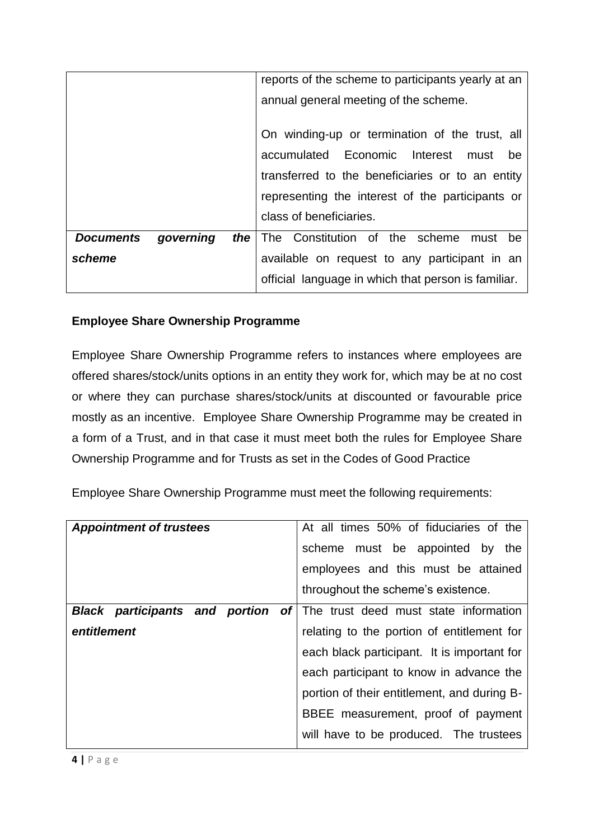|                  |           |     | reports of the scheme to participants yearly at an  |  |
|------------------|-----------|-----|-----------------------------------------------------|--|
|                  |           |     | annual general meeting of the scheme.               |  |
|                  |           |     |                                                     |  |
|                  |           |     | On winding-up or termination of the trust, all      |  |
|                  |           |     | accumulated Economic Interest must<br>be            |  |
|                  |           |     | transferred to the beneficiaries or to an entity    |  |
|                  |           |     | representing the interest of the participants or    |  |
|                  |           |     | class of beneficiaries.                             |  |
| <b>Documents</b> | governing | the | The Constitution of the scheme<br>must be           |  |
| scheme           |           |     | available on request to any participant in an       |  |
|                  |           |     | official language in which that person is familiar. |  |

# **Employee Share Ownership Programme**

Employee Share Ownership Programme refers to instances where employees are offered shares/stock/units options in an entity they work for, which may be at no cost or where they can purchase shares/stock/units at discounted or favourable price mostly as an incentive. Employee Share Ownership Programme may be created in a form of a Trust, and in that case it must meet both the rules for Employee Share Ownership Programme and for Trusts as set in the Codes of Good Practice

Employee Share Ownership Programme must meet the following requirements:

| <b>Appointment of trustees</b>        | At all times 50% of fiduciaries of the      |
|---------------------------------------|---------------------------------------------|
|                                       | scheme must be appointed by the             |
|                                       | employees and this must be attained         |
|                                       | throughout the scheme's existence.          |
| <b>Black participants and portion</b> | of The trust deed must state information    |
| entitlement                           | relating to the portion of entitlement for  |
|                                       | each black participant. It is important for |
|                                       | each participant to know in advance the     |
|                                       | portion of their entitlement, and during B- |
|                                       | BBEE measurement, proof of payment          |
|                                       | will have to be produced. The trustees      |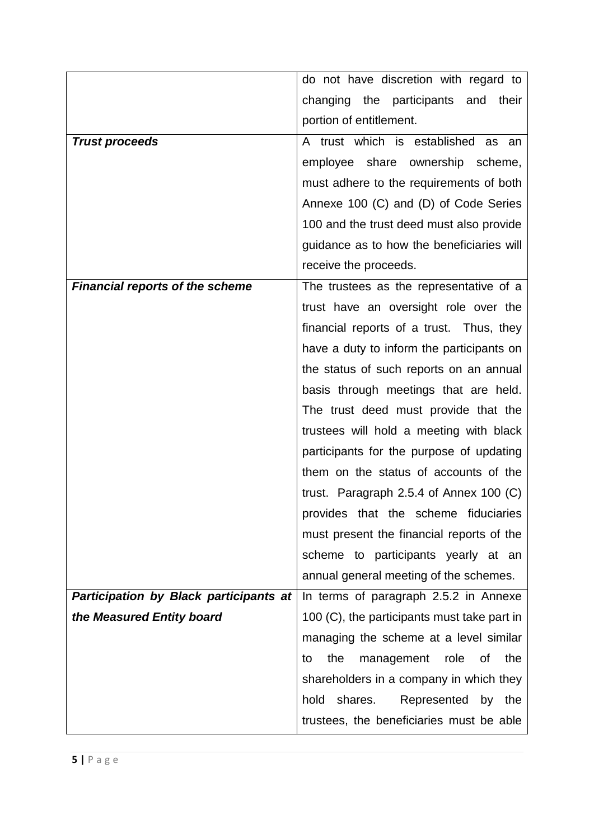|                                               | do not have discretion with regard to               |
|-----------------------------------------------|-----------------------------------------------------|
|                                               | changing the participants and their                 |
|                                               | portion of entitlement.                             |
| <b>Trust proceeds</b>                         | A trust which is established as<br>an               |
|                                               | employee share ownership scheme,                    |
|                                               | must adhere to the requirements of both             |
|                                               | Annexe 100 (C) and (D) of Code Series               |
|                                               | 100 and the trust deed must also provide            |
|                                               | guidance as to how the beneficiaries will           |
|                                               | receive the proceeds.                               |
| <b>Financial reports of the scheme</b>        | The trustees as the representative of a             |
|                                               | trust have an oversight role over the               |
|                                               | financial reports of a trust. Thus, they            |
|                                               | have a duty to inform the participants on           |
|                                               | the status of such reports on an annual             |
|                                               | basis through meetings that are held.               |
|                                               | The trust deed must provide that the                |
|                                               | trustees will hold a meeting with black             |
|                                               | participants for the purpose of updating            |
|                                               | them on the status of accounts of the               |
|                                               | trust. Paragraph 2.5.4 of Annex 100 $(C)$           |
|                                               | provides that the scheme fiduciaries                |
|                                               | must present the financial reports of the           |
|                                               | scheme to participants yearly at an                 |
|                                               | annual general meeting of the schemes.              |
| <b>Participation by Black participants at</b> | In terms of paragraph 2.5.2 in Annexe               |
| the Measured Entity board                     | 100 (C), the participants must take part in         |
|                                               | managing the scheme at a level similar              |
|                                               | the<br>management<br>role<br><b>of</b><br>the<br>to |
|                                               | shareholders in a company in which they             |
|                                               | hold<br>shares.<br>Represented<br>by<br>the         |
|                                               | trustees, the beneficiaries must be able            |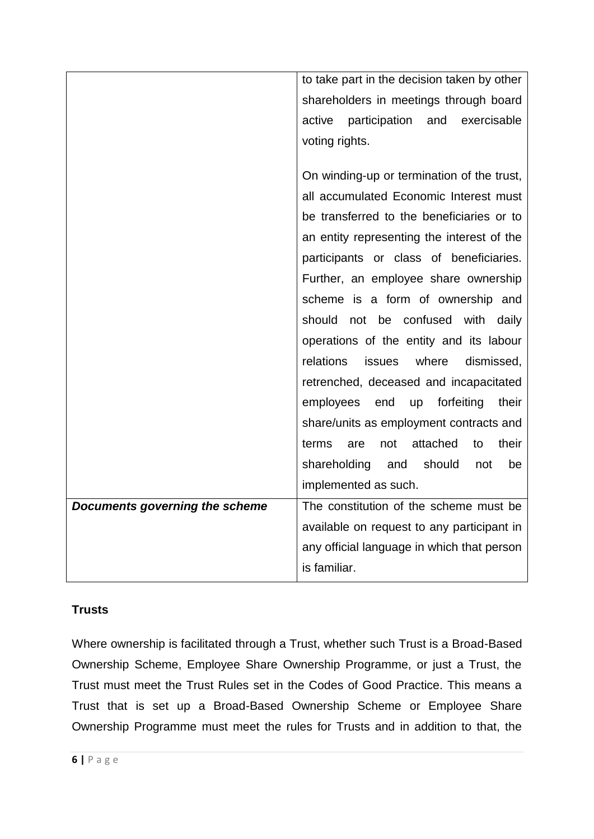|                                | to take part in the decision taken by other       |
|--------------------------------|---------------------------------------------------|
|                                | shareholders in meetings through board            |
|                                | participation<br>active<br>and<br>exercisable     |
|                                | voting rights.                                    |
|                                |                                                   |
|                                | On winding-up or termination of the trust,        |
|                                | all accumulated Economic Interest must            |
|                                | be transferred to the beneficiaries or to         |
|                                | an entity representing the interest of the        |
|                                | participants or class of beneficiaries.           |
|                                | Further, an employee share ownership              |
|                                | scheme is a form of ownership and                 |
|                                | should<br>not be confused with daily              |
|                                | operations of the entity and its labour           |
|                                | relations<br>where<br>dismissed,<br><b>issues</b> |
|                                | retrenched, deceased and incapacitated            |
|                                | employees end<br>up forfeiting<br>their           |
|                                | share/units as employment contracts and           |
|                                | attached<br>terms<br>their<br>are<br>not<br>to    |
|                                | shareholding and<br>should<br>not<br>be           |
|                                | implemented as such.                              |
| Documents governing the scheme | The constitution of the scheme must be            |
|                                |                                                   |
|                                | available on request to any participant in        |
|                                | any official language in which that person        |

# **Trusts**

Where ownership is facilitated through a Trust, whether such Trust is a Broad-Based Ownership Scheme, Employee Share Ownership Programme, or just a Trust, the Trust must meet the Trust Rules set in the Codes of Good Practice. This means a Trust that is set up a Broad-Based Ownership Scheme or Employee Share Ownership Programme must meet the rules for Trusts and in addition to that, the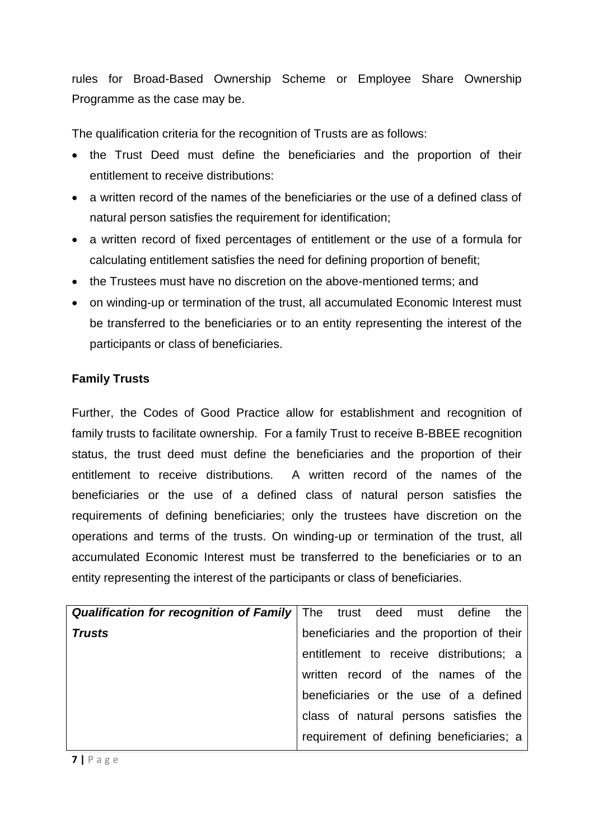rules for Broad-Based Ownership Scheme or Employee Share Ownership Programme as the case may be.

The qualification criteria for the recognition of Trusts are as follows:

- the Trust Deed must define the beneficiaries and the proportion of their entitlement to receive distributions:
- a written record of the names of the beneficiaries or the use of a defined class of natural person satisfies the requirement for identification;
- a written record of fixed percentages of entitlement or the use of a formula for calculating entitlement satisfies the need for defining proportion of benefit;
- the Trustees must have no discretion on the above-mentioned terms: and
- on winding-up or termination of the trust, all accumulated Economic Interest must be transferred to the beneficiaries or to an entity representing the interest of the participants or class of beneficiaries.

## **Family Trusts**

Further, the Codes of Good Practice allow for establishment and recognition of family trusts to facilitate ownership. For a family Trust to receive B-BBEE recognition status, the trust deed must define the beneficiaries and the proportion of their entitlement to receive distributions. A written record of the names of the beneficiaries or the use of a defined class of natural person satisfies the requirements of defining beneficiaries; only the trustees have discretion on the operations and terms of the trusts. On winding-up or termination of the trust, all accumulated Economic Interest must be transferred to the beneficiaries or to an entity representing the interest of the participants or class of beneficiaries.

|               | <b>Qualification for recognition of Family</b> The trust deed must define the |
|---------------|-------------------------------------------------------------------------------|
| <b>Trusts</b> | beneficiaries and the proportion of their                                     |
|               | entitlement to receive distributions; a                                       |
|               | written record of the names of the                                            |
|               | beneficiaries or the use of a defined                                         |
|               | class of natural persons satisfies the                                        |
|               | requirement of defining beneficiaries; a                                      |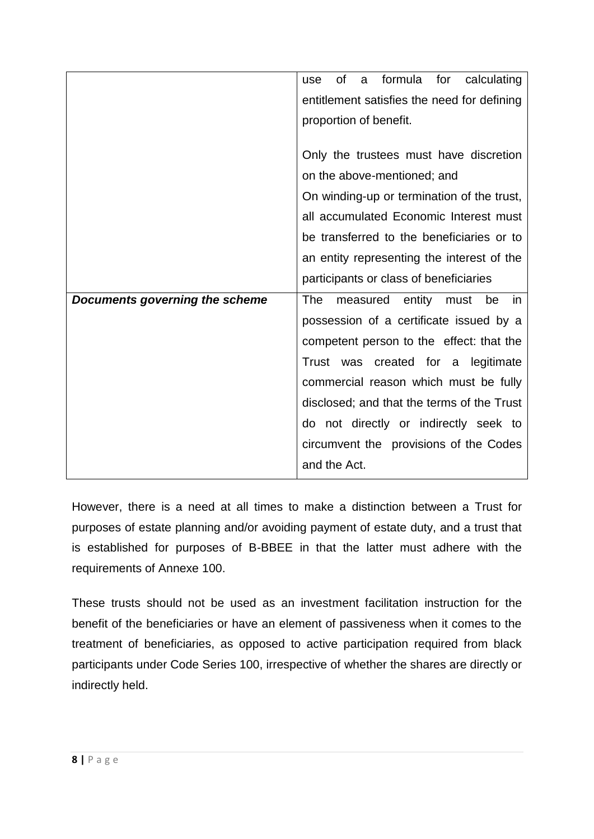|                                | formula for<br><b>of</b><br>calculating<br>use<br>a |
|--------------------------------|-----------------------------------------------------|
|                                | entitlement satisfies the need for defining         |
|                                | proportion of benefit.                              |
|                                |                                                     |
|                                | Only the trustees must have discretion              |
|                                | on the above-mentioned; and                         |
|                                | On winding-up or termination of the trust,          |
|                                | all accumulated Economic Interest must              |
|                                | be transferred to the beneficiaries or to           |
|                                | an entity representing the interest of the          |
|                                | participants or class of beneficiaries              |
| Documents governing the scheme | <b>The</b><br>measured<br>entity must<br>be<br>in   |
|                                | possession of a certificate issued by a             |
|                                | competent person to the effect: that the            |
|                                | Trust was created for a<br>legitimate               |
|                                | commercial reason which must be fully               |
|                                | disclosed; and that the terms of the Trust          |
|                                | do not directly or indirectly seek to               |
|                                | circumvent the provisions of the Codes              |
|                                | and the Act.                                        |

However, there is a need at all times to make a distinction between a Trust for purposes of estate planning and/or avoiding payment of estate duty, and a trust that is established for purposes of B-BBEE in that the latter must adhere with the requirements of Annexe 100.

These trusts should not be used as an investment facilitation instruction for the benefit of the beneficiaries or have an element of passiveness when it comes to the treatment of beneficiaries, as opposed to active participation required from black participants under Code Series 100, irrespective of whether the shares are directly or indirectly held.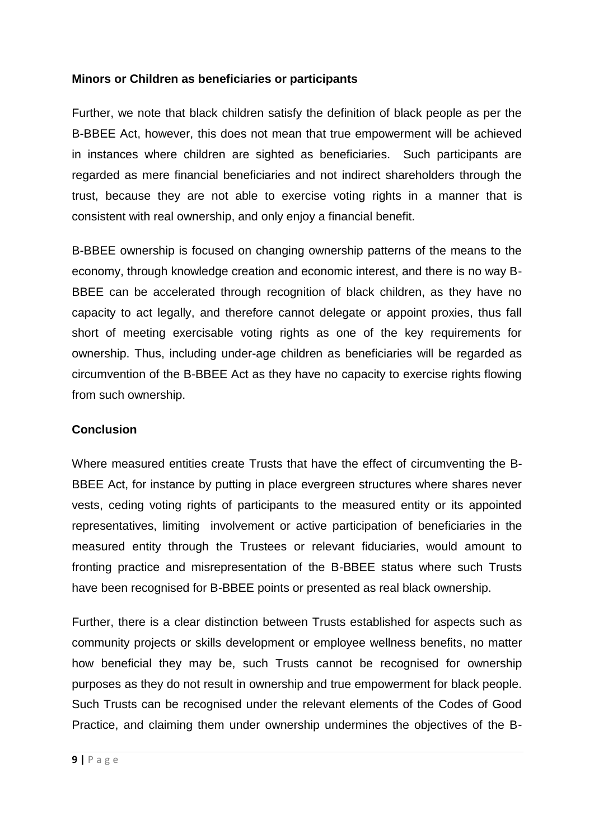### **Minors or Children as beneficiaries or participants**

Further, we note that black children satisfy the definition of black people as per the B-BBEE Act, however, this does not mean that true empowerment will be achieved in instances where children are sighted as beneficiaries. Such participants are regarded as mere financial beneficiaries and not indirect shareholders through the trust, because they are not able to exercise voting rights in a manner that is consistent with real ownership, and only enjoy a financial benefit.

B-BBEE ownership is focused on changing ownership patterns of the means to the economy, through knowledge creation and economic interest, and there is no way B-BBEE can be accelerated through recognition of black children, as they have no capacity to act legally, and therefore cannot delegate or appoint proxies, thus fall short of meeting exercisable voting rights as one of the key requirements for ownership. Thus, including under-age children as beneficiaries will be regarded as circumvention of the B-BBEE Act as they have no capacity to exercise rights flowing from such ownership.

### **Conclusion**

Where measured entities create Trusts that have the effect of circumventing the B-BBEE Act, for instance by putting in place evergreen structures where shares never vests, ceding voting rights of participants to the measured entity or its appointed representatives, limiting involvement or active participation of beneficiaries in the measured entity through the Trustees or relevant fiduciaries, would amount to fronting practice and misrepresentation of the B-BBEE status where such Trusts have been recognised for B-BBEE points or presented as real black ownership.

Further, there is a clear distinction between Trusts established for aspects such as community projects or skills development or employee wellness benefits, no matter how beneficial they may be, such Trusts cannot be recognised for ownership purposes as they do not result in ownership and true empowerment for black people. Such Trusts can be recognised under the relevant elements of the Codes of Good Practice, and claiming them under ownership undermines the objectives of the B-